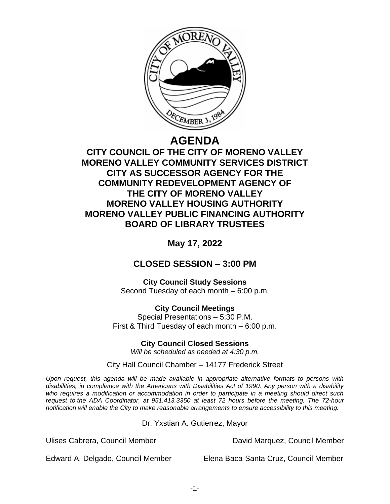

# **AGENDA**

# **CITY COUNCIL OF THE CITY OF MORENO VALLEY MORENO VALLEY COMMUNITY SERVICES DISTRICT CITY AS SUCCESSOR AGENCY FOR THE COMMUNITY REDEVELOPMENT AGENCY OF THE CITY OF MORENO VALLEY MORENO VALLEY HOUSING AUTHORITY MORENO VALLEY PUBLIC FINANCING AUTHORITY BOARD OF LIBRARY TRUSTEES**

**May 17, 2022**

# **CLOSED SESSION – 3:00 PM**

**City Council Study Sessions** Second Tuesday of each month – 6:00 p.m.

**City Council Meetings** Special Presentations – 5:30 P.M. First & Third Tuesday of each month – 6:00 p.m.

**City Council Closed Sessions**

*Will be scheduled as needed at 4:30 p.m.*

City Hall Council Chamber – 14177 Frederick Street

*Upon request, this agenda will be made available in appropriate alternative formats to persons with disabilities, in compliance with the Americans with Disabilities Act of 1990. Any person with a disability who requires a modification or accommodation in order to participate in a meeting should direct such request to the ADA Coordinator, at 951.413.3350 at least 72 hours before the meeting. The 72-hour notification will enable the City to make reasonable arrangements to ensure accessibility to this meeting.*

Dr. Yxstian A. Gutierrez, Mayor

Ulises Cabrera, Council Member David Marquez, Council Member

Edward A. Delgado, Council Member Elena Baca-Santa Cruz, Council Member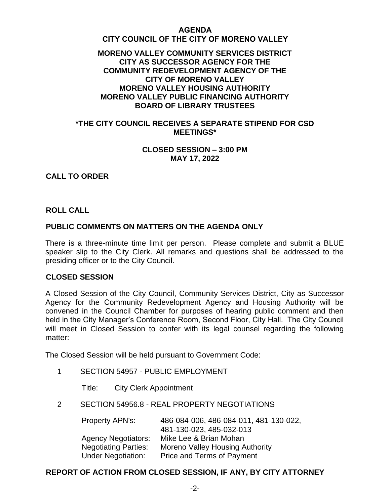#### **AGENDA**

#### **CITY COUNCIL OF THE CITY OF MORENO VALLEY**

# **MORENO VALLEY COMMUNITY SERVICES DISTRICT CITY AS SUCCESSOR AGENCY FOR THE COMMUNITY REDEVELOPMENT AGENCY OF THE CITY OF MORENO VALLEY MORENO VALLEY HOUSING AUTHORITY MORENO VALLEY PUBLIC FINANCING AUTHORITY BOARD OF LIBRARY TRUSTEES**

# **\*THE CITY COUNCIL RECEIVES A SEPARATE STIPEND FOR CSD MEETINGS\***

#### **CLOSED SESSION – 3:00 PM MAY 17, 2022**

# **CALL TO ORDER**

#### **ROLL CALL**

# **PUBLIC COMMENTS ON MATTERS ON THE AGENDA ONLY**

There is a three-minute time limit per person. Please complete and submit a BLUE speaker slip to the City Clerk. All remarks and questions shall be addressed to the presiding officer or to the City Council.

#### **CLOSED SESSION**

A Closed Session of the City Council, Community Services District, City as Successor Agency for the Community Redevelopment Agency and Housing Authority will be convened in the Council Chamber for purposes of hearing public comment and then held in the City Manager's Conference Room, Second Floor, City Hall. The City Council will meet in Closed Session to confer with its legal counsel regarding the following matter:

The Closed Session will be held pursuant to Government Code:

- 1 SECTION 54957 PUBLIC EMPLOYMENT
	- Title: City Clerk Appointment
- 2 SECTION 54956.8 REAL PROPERTY NEGOTIATIONS

| 486-084-006, 486-084-011, 481-130-022, |
|----------------------------------------|
| 481-130-023, 485-032-013               |
| Mike Lee & Brian Mohan                 |
| <b>Moreno Valley Housing Authority</b> |
| Price and Terms of Payment             |
|                                        |

# **REPORT OF ACTION FROM CLOSED SESSION, IF ANY, BY CITY ATTORNEY**